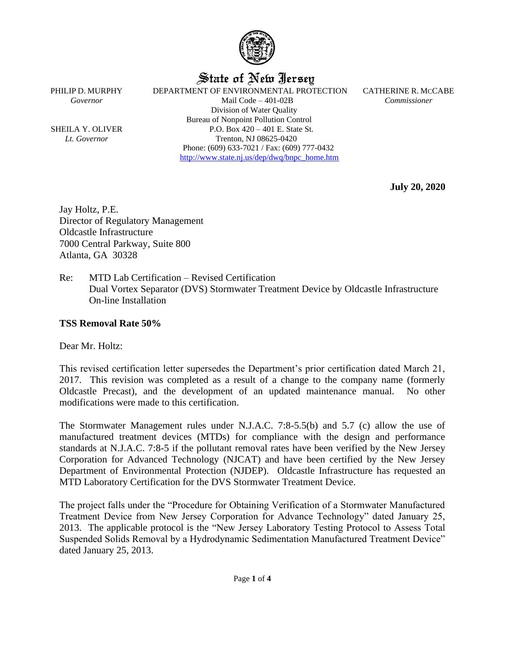

State of New Jersey

PHILIP D. MURPHY DEPARTMENT OF ENVIRONMENTAL PROTECTION CATHERINE R. MCCABE *Governor* Mail Code – 401-02B *Commissioner* Division of Water Quality Bureau of Nonpoint Pollution Control SHEILA Y. OLIVER  $P.O. Box 420 - 401 E. State St.$ *Lt. Governor* Trenton, NJ 08625-0420 Phone: (609) 633-7021 / Fax: (609) 777-0432 [http://www.state.nj.us/dep/dwq/bnpc\\_home.htm](http://www.state.nj.us/dep/dwq/bnpc_home.htm)

**July 20, 2020**

Jay Holtz, P.E. Director of Regulatory Management Oldcastle Infrastructure 7000 Central Parkway, Suite 800 Atlanta, GA 30328

Re: MTD Lab Certification – Revised Certification Dual Vortex Separator (DVS) Stormwater Treatment Device by Oldcastle Infrastructure On-line Installation

#### **TSS Removal Rate 50%**

Dear Mr. Holtz:

This revised certification letter supersedes the Department's prior certification dated March 21, 2017. This revision was completed as a result of a change to the company name (formerly Oldcastle Precast), and the development of an updated maintenance manual. No other modifications were made to this certification.

The Stormwater Management rules under N.J.A.C. 7:8-5.5(b) and 5.7 (c) allow the use of manufactured treatment devices (MTDs) for compliance with the design and performance standards at N.J.A.C. 7:8-5 if the pollutant removal rates have been verified by the New Jersey Corporation for Advanced Technology (NJCAT) and have been certified by the New Jersey Department of Environmental Protection (NJDEP). Oldcastle Infrastructure has requested an MTD Laboratory Certification for the DVS Stormwater Treatment Device.

The project falls under the "Procedure for Obtaining Verification of a Stormwater Manufactured Treatment Device from New Jersey Corporation for Advance Technology" dated January 25, 2013. The applicable protocol is the "New Jersey Laboratory Testing Protocol to Assess Total Suspended Solids Removal by a Hydrodynamic Sedimentation Manufactured Treatment Device" dated January 25, 2013.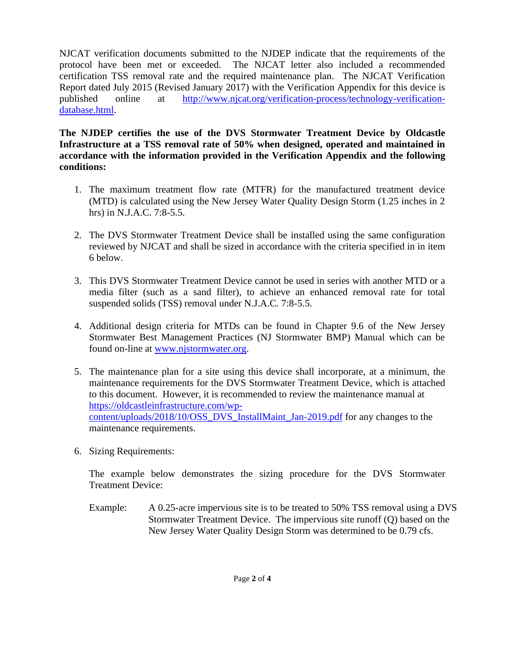NJCAT verification documents submitted to the NJDEP indicate that the requirements of the protocol have been met or exceeded. The NJCAT letter also included a recommended certification TSS removal rate and the required maintenance plan. The NJCAT Verification Report dated July 2015 (Revised January 2017) with the Verification Appendix for this device is published online at [http://www.njcat.org/verification-process/technology-verification](http://www.njcat.org/verification-process/technology-verification-database.html)[database.html.](http://www.njcat.org/verification-process/technology-verification-database.html)

#### **The NJDEP certifies the use of the DVS Stormwater Treatment Device by Oldcastle Infrastructure at a TSS removal rate of 50% when designed, operated and maintained in accordance with the information provided in the Verification Appendix and the following conditions:**

- 1. The maximum treatment flow rate (MTFR) for the manufactured treatment device (MTD) is calculated using the New Jersey Water Quality Design Storm (1.25 inches in 2 hrs) in N.J.A.C. 7:8-5.5.
- 2. The DVS Stormwater Treatment Device shall be installed using the same configuration reviewed by NJCAT and shall be sized in accordance with the criteria specified in in item 6 below.
- 3. This DVS Stormwater Treatment Device cannot be used in series with another MTD or a media filter (such as a sand filter), to achieve an enhanced removal rate for total suspended solids (TSS) removal under N.J.A.C. 7:8-5.5.
- 4. Additional design criteria for MTDs can be found in Chapter 9.6 of the New Jersey Stormwater Best Management Practices (NJ Stormwater BMP) Manual which can be found on-line at [www.njstormwater.org.](http://www.njstormwater.org/)
- 5. The maintenance plan for a site using this device shall incorporate, at a minimum, the maintenance requirements for the DVS Stormwater Treatment Device, which is attached to this document. However, it is recommended to review the maintenance manual at [https://oldcastleinfrastructure.com/wp](https://urldefense.com/v3/__https:/oldcastleinfrastructure.com/wp-content/uploads/2018/10/OSS_DVS_InstallMaint_Jan-2019.pdf__;!!J30X0ZrnC1oQtbA!ZlyEdN85krq88CCA_ovKNm5o6yDLqk2DBCAGVaVb-OJpa4J7eHiFHsngjR5tjwfVDTDuwdc$)[content/uploads/2018/10/OSS\\_DVS\\_InstallMaint\\_Jan-2019.pdf](https://urldefense.com/v3/__https:/oldcastleinfrastructure.com/wp-content/uploads/2018/10/OSS_DVS_InstallMaint_Jan-2019.pdf__;!!J30X0ZrnC1oQtbA!ZlyEdN85krq88CCA_ovKNm5o6yDLqk2DBCAGVaVb-OJpa4J7eHiFHsngjR5tjwfVDTDuwdc$) for any changes to the maintenance requirements.
- 6. Sizing Requirements:

The example below demonstrates the sizing procedure for the DVS Stormwater Treatment Device:

Example: A 0.25-acre impervious site is to be treated to 50% TSS removal using a DVS Stormwater Treatment Device. The impervious site runoff (Q) based on the New Jersey Water Quality Design Storm was determined to be 0.79 cfs.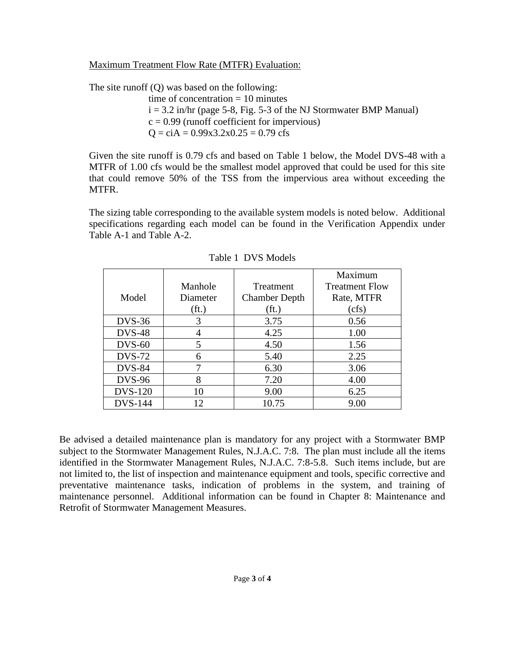Maximum Treatment Flow Rate (MTFR) Evaluation:

The site runoff (Q) was based on the following:

time of concentration  $= 10$  minutes  $i = 3.2$  in/hr (page 5-8, Fig. 5-3 of the NJ Stormwater BMP Manual)  $c = 0.99$  (runoff coefficient for impervious)  $Q = c$ iA = 0.99x3.2x0.25 = 0.79 cfs

Given the site runoff is 0.79 cfs and based on Table 1 below, the Model DVS-48 with a MTFR of 1.00 cfs would be the smallest model approved that could be used for this site that could remove 50% of the TSS from the impervious area without exceeding the MTFR.

The sizing table corresponding to the available system models is noted below. Additional specifications regarding each model can be found in the Verification Appendix under Table A-1 and Table A-2.

|                |                   |                      | Maximum               |
|----------------|-------------------|----------------------|-----------------------|
|                | Manhole           | Treatment            | <b>Treatment Flow</b> |
| Model          | Diameter          | <b>Chamber Depth</b> | Rate, MTFR            |
|                | (f <sub>t</sub> ) | (f <sub>t</sub> )    | (cfs)                 |
| $DVS-36$       | 3                 | 3.75                 | 0.56                  |
| <b>DVS-48</b>  |                   | 4.25                 | 1.00                  |
| $DVS-60$       | 5                 | 4.50                 | 1.56                  |
| <b>DVS-72</b>  | 6                 | 5.40                 | 2.25                  |
| <b>DVS-84</b>  |                   | 6.30                 | 3.06                  |
| <b>DVS-96</b>  | 8                 | 7.20                 | 4.00                  |
| <b>DVS-120</b> | 10                | 9.00                 | 6.25                  |
| <b>DVS-144</b> | 12                | 10.75                | 9.00                  |

Table 1 DVS Models

Be advised a detailed maintenance plan is mandatory for any project with a Stormwater BMP subject to the Stormwater Management Rules, N.J.A.C. 7:8. The plan must include all the items identified in the Stormwater Management Rules, N.J.A.C. 7:8-5.8. Such items include, but are not limited to, the list of inspection and maintenance equipment and tools, specific corrective and preventative maintenance tasks, indication of problems in the system, and training of maintenance personnel. Additional information can be found in Chapter 8: Maintenance and Retrofit of Stormwater Management Measures.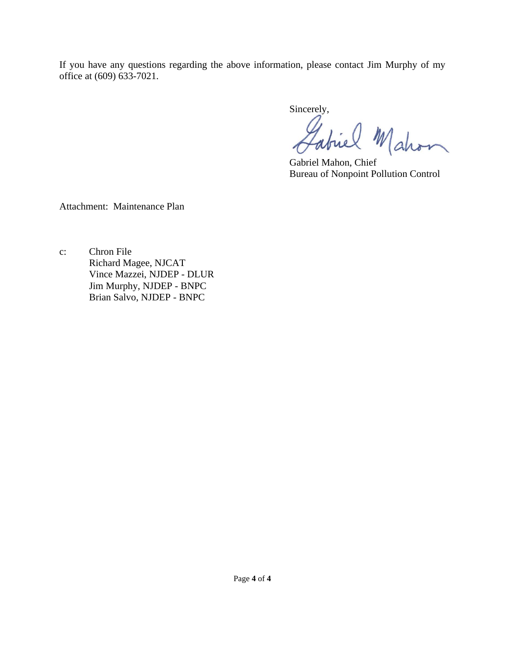If you have any questions regarding the above information, please contact Jim Murphy of my office at (609) 633-7021.

Sincerely,

Gabriel Mahon

Bureau of Nonpoint Pollution Control

Attachment: Maintenance Plan

c: Chron File Richard Magee, NJCAT Vince Mazzei, NJDEP - DLUR Jim Murphy, NJDEP - BNPC Brian Salvo, NJDEP - BNPC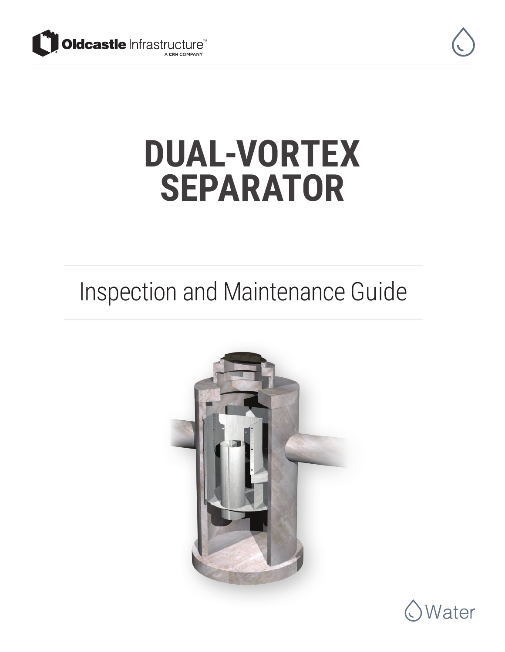



## **DUAL-VORTEX SEPARATOR**

### Inspection and Maintenance Guide



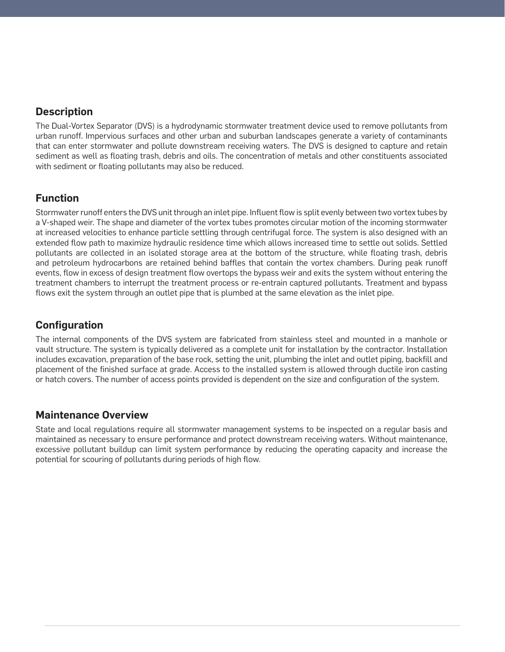#### **Description**

The Dual-Vortex Separator (DVS) is a hydrodynamic stormwater treatment device used to remove pollutants from urban runoff. Impervious surfaces and other urban and suburban landscapes generate a variety of contaminants that can enter stormwater and pollute downstream receiving waters. The DVS is designed to capture and retain sediment as well as floating trash, debris and oils. The concentration of metals and other constituents associated with sediment or floating pollutants may also be reduced.

#### **Function**

Stormwater runoff enters the DVS unit through an inlet pipe. Influent flow is split evenly between two vortex tubes by a V-shaped weir. The shape and diameter of the vortex tubes promotes circular motion of the incoming stormwater at increased velocities to enhance particle settling through centrifugal force. The system is also designed with an extended flow path to maximize hydraulic residence time which allows increased time to settle out solids. Settled pollutants are collected in an isolated storage area at the bottom of the structure, while floating trash, debris and petroleum hydrocarbons are retained behind baffles that contain the vortex chambers. During peak runoff events, flow in excess of design treatment flow overtops the bypass weir and exits the system without entering the treatment chambers to interrupt the treatment process or re-entrain captured pollutants. Treatment and bypass flows exit the system through an outlet pipe that is plumbed at the same elevation as the inlet pipe.

#### **Configuration**

The internal components of the DVS system are fabricated from stainless steel and mounted in a manhole or vault structure. The system is typically delivered as a complete unit for installation by the contractor. Installation includes excavation, preparation of the base rock, setting the unit, plumbing the inlet and outlet piping, backfill and placement of the finished surface at grade. Access to the installed system is allowed through ductile iron casting or hatch covers. The number of access points provided is dependent on the size and configuration of the system.

#### **Maintenance Overview**

State and local regulations require all stormwater management systems to be inspected on a regular basis and maintained as necessary to ensure performance and protect downstream receiving waters. Without maintenance, excessive pollutant buildup can limit system performance by reducing the operating capacity and increase the potential for scouring of pollutants during periods of high flow.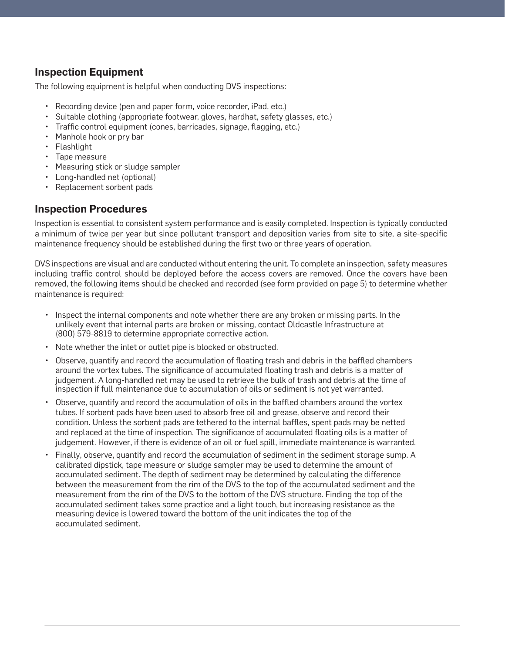#### **Inspection Equipment**

The following equipment is helpful when conducting DVS inspections:

- Recording device (pen and paper form, voice recorder, iPad, etc.)
- Suitable clothing (appropriate footwear, gloves, hardhat, safety glasses, etc.)
- Traffic control equipment (cones, barricades, signage, flagging, etc.)
- Manhole hook or pry bar
- Flashlight
- Tape measure
- Measuring stick or sludge sampler
- Long-handled net (optional)
- Replacement sorbent pads

#### **Inspection Procedures**

Inspection is essential to consistent system performance and is easily completed. Inspection is typically conducted a minimum of twice per year but since pollutant transport and deposition varies from site to site, a site-specific maintenance frequency should be established during the first two or three years of operation.

DVS inspections are visual and are conducted without entering the unit. To complete an inspection, safety measures including traffic control should be deployed before the access covers are removed. Once the covers have been removed, the following items should be checked and recorded (see form provided on page 5) to determine whether maintenance is required:

- Inspect the internal components and note whether there are any broken or missing parts. In the unlikely event that internal parts are broken or missing, contact Oldcastle Infrastructure at (800) 579-8819 to determine appropriate corrective action.
- Note whether the inlet or outlet pipe is blocked or obstructed.
- Observe, quantify and record the accumulation of floating trash and debris in the baffled chambers around the vortex tubes. The significance of accumulated floating trash and debris is a matter of judgement. A long-handled net may be used to retrieve the bulk of trash and debris at the time of inspection if full maintenance due to accumulation of oils or sediment is not yet warranted.
- Observe, quantify and record the accumulation of oils in the baffled chambers around the vortex tubes. If sorbent pads have been used to absorb free oil and grease, observe and record their condition. Unless the sorbent pads are tethered to the internal baffles, spent pads may be netted and replaced at the time of inspection. The significance of accumulated floating oils is a matter of judgement. However, if there is evidence of an oil or fuel spill, immediate maintenance is warranted.
- Finally, observe, quantify and record the accumulation of sediment in the sediment storage sump. A calibrated dipstick, tape measure or sludge sampler may be used to determine the amount of accumulated sediment. The depth of sediment may be determined by calculating the difference between the measurement from the rim of the DVS to the top of the accumulated sediment and the measurement from the rim of the DVS to the bottom of the DVS structure. Finding the top of the accumulated sediment takes some practice and a light touch, but increasing resistance as the measuring device is lowered toward the bottom of the unit indicates the top of the accumulated sediment.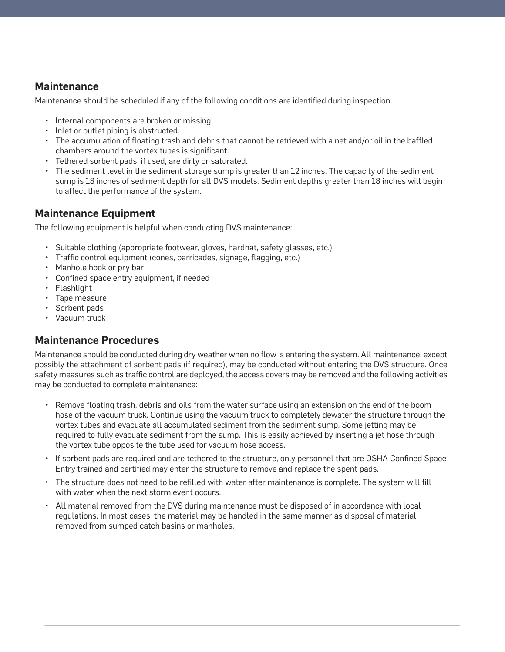#### **Maintenance**

Maintenance should be scheduled if any of the following conditions are identified during inspection:

- Internal components are broken or missing.
- Inlet or outlet piping is obstructed.
- The accumulation of floating trash and debris that cannot be retrieved with a net and/or oil in the baffled chambers around the vortex tubes is significant.
- Tethered sorbent pads, if used, are dirty or saturated.
- The sediment level in the sediment storage sump is greater than 12 inches. The capacity of the sediment sump is 18 inches of sediment depth for all DVS models. Sediment depths greater than 18 inches will begin to affect the performance of the system.

#### **Maintenance Equipment**

The following equipment is helpful when conducting DVS maintenance:

- Suitable clothing (appropriate footwear, gloves, hardhat, safety glasses, etc.)
- Traffic control equipment (cones, barricades, signage, flagging, etc.)
- Manhole hook or pry bar
- Confined space entry equipment, if needed
- Flashlight
- Tape measure
- Sorbent pads
- Vacuum truck

#### **Maintenance Procedures**

Maintenance should be conducted during dry weather when no flow is entering the system. All maintenance, except possibly the attachment of sorbent pads (if required), may be conducted without entering the DVS structure. Once safety measures such as traffic control are deployed, the access covers may be removed and the following activities may be conducted to complete maintenance:

- Remove floating trash, debris and oils from the water surface using an extension on the end of the boom hose of the vacuum truck. Continue using the vacuum truck to completely dewater the structure through the vortex tubes and evacuate all accumulated sediment from the sediment sump. Some jetting may be required to fully evacuate sediment from the sump. This is easily achieved by inserting a jet hose through the vortex tube opposite the tube used for vacuum hose access.
- If sorbent pads are required and are tethered to the structure, only personnel that are OSHA Confined Space Entry trained and certified may enter the structure to remove and replace the spent pads.
- The structure does not need to be refilled with water after maintenance is complete. The system will fill with water when the next storm event occurs.
- All material removed from the DVS during maintenance must be disposed of in accordance with local regulations. In most cases, the material may be handled in the same manner as disposal of material removed from sumped catch basins or manholes.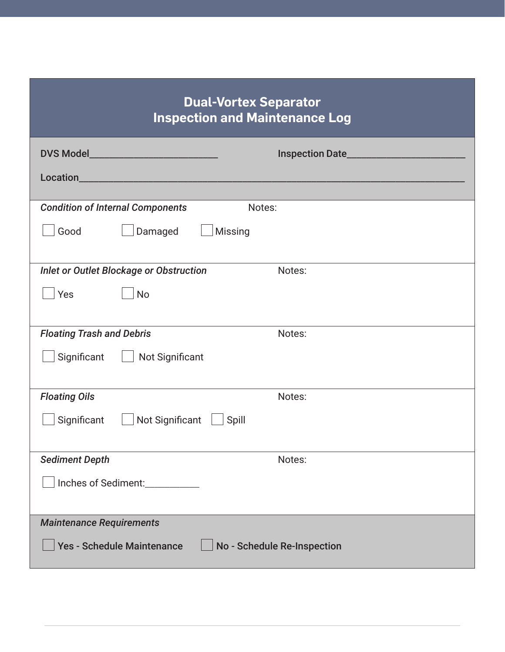#### **Dual-Vortex Separator Inspection and Maintenance Log**

| <b>Condition of Internal Components</b><br>Notes:                |        |  |  |  |
|------------------------------------------------------------------|--------|--|--|--|
| Damaged<br><b>Missing</b><br>Good                                |        |  |  |  |
|                                                                  |        |  |  |  |
| <b>Inlet or Outlet Blockage or Obstruction</b>                   | Notes: |  |  |  |
|                                                                  |        |  |  |  |
| Yes<br><b>No</b>                                                 |        |  |  |  |
|                                                                  |        |  |  |  |
| <b>Floating Trash and Debris</b><br>Notes:                       |        |  |  |  |
| Not Significant<br>Significant                                   |        |  |  |  |
|                                                                  |        |  |  |  |
| <b>Floating Oils</b>                                             | Notes: |  |  |  |
| Significant   Not Significant   Spill                            |        |  |  |  |
|                                                                  |        |  |  |  |
| <b>Sediment Depth</b>                                            | Notes: |  |  |  |
| Inches of Sediment:                                              |        |  |  |  |
|                                                                  |        |  |  |  |
| <b>Maintenance Requirements</b>                                  |        |  |  |  |
|                                                                  |        |  |  |  |
| <b>Yes - Schedule Maintenance</b><br>No - Schedule Re-Inspection |        |  |  |  |
|                                                                  |        |  |  |  |